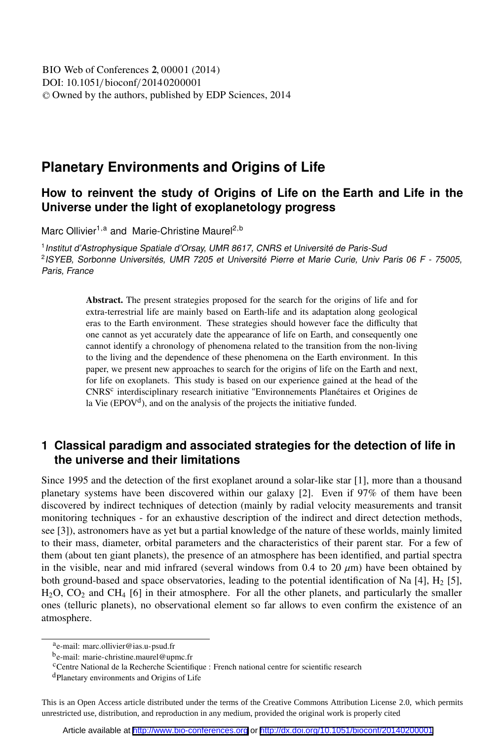# **Planetary Environments and Origins of Life**

## **How to reinvent the study of Origins of Life on the Earth and Life in the Universe under the light of exoplanetology progress**

Marc Ollivier<sup>1,a</sup> and Marie-Christine Maurel<sup>2,b</sup>

<sup>1</sup> Institut d'Astrophysique Spatiale d'Orsay, UMR 8617, CNRS et Université de Paris-Sud 2 ISYEB, Sorbonne Universités, UMR 7205 et Université Pierre et Marie Curie, Univ Paris 06 F - 75005, Paris, France

> Abstract. The present strategies proposed for the search for the origins of life and for extra-terrestrial life are mainly based on Earth-life and its adaptation along geological eras to the Earth environment. These strategies should however face the difficulty that one cannot as yet accurately date the appearance of life on Earth, and consequently one cannot identify a chronology of phenomena related to the transition from the non-living to the living and the dependence of these phenomena on the Earth environment. In this paper, we present new approaches to search for the origins of life on the Earth and next, for life on exoplanets. This study is based on our experience gained at the head of the CNRS<sup>c</sup> interdisciplinary research initiative "Environnements Planétaires et Origines de la Vie ( $EPOV<sup>d</sup>$ ), and on the analysis of the projects the initiative funded.

## **1 Classical paradigm and associated strategies for the detection of life in the universe and their limitations**

Since 1995 and the detection of the first exoplanet around a solar-like star [1], more than a thousand planetary systems have been discovered within our galaxy [2]. Even if 97% of them have been discovered by indirect techniques of detection (mainly by radial velocity measurements and transit monitoring techniques - for an exhaustive description of the indirect and direct detection methods, see [3]), astronomers have as yet but a partial knowledge of the nature of these worlds, mainly limited to their mass, diameter, orbital parameters and the characteristics of their parent star. For a few of them (about ten giant planets), the presence of an atmosphere has been identified, and partial spectra in the visible, near and mid infrared (several windows from 0.4 to 20  $\mu$ m) have been obtained by both ground-based and space observatories, leading to the potential identification of Na [4], H<sup>2</sup> [5],  $H_2O$ ,  $CO_2$  and  $CH_4$  [6] in their atmosphere. For all the other planets, and particularly the smaller ones (telluric planets), no observational element so far allows to even confirm the existence of an atmosphere.

This is an Open Access article distributed under the terms of the Creative Commons Attribution License 2.0, which permits unrestricted use, distribution, and reproduction in any medium, provided the original work is properly cited

a<sub>e-mail: marc.ollivier@ias.u-psud.fr</sub>

b<sub>e-mail: marie-christine.maurel@upmc.fr</sub>

<sup>&</sup>lt;sup>c</sup>Centre National de la Recherche Scientifique : French national centre for scientific research

<sup>d</sup>Planetary environments and Origins of Life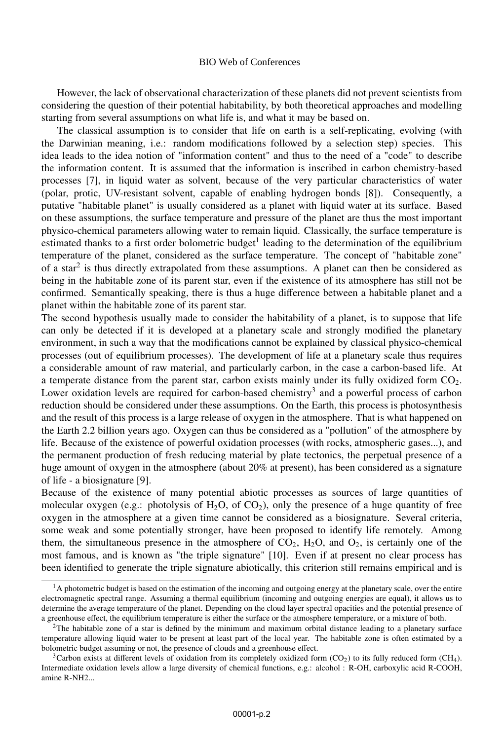#### BIO Web of Conferences

However, the lack of observational characterization of these planets did not prevent scientists from considering the question of their potential habitability, by both theoretical approaches and modelling starting from several assumptions on what life is, and what it may be based on.

The classical assumption is to consider that life on earth is a self-replicating, evolving (with the Darwinian meaning, i.e.: random modifications followed by a selection step) species. This idea leads to the idea notion of "information content" and thus to the need of a "code" to describe the information content. It is assumed that the information is inscribed in carbon chemistry-based processes [7], in liquid water as solvent, because of the very particular characteristics of water (polar, protic, UV-resistant solvent, capable of enabling hydrogen bonds [8]). Consequently, a putative "habitable planet" is usually considered as a planet with liquid water at its surface. Based on these assumptions, the surface temperature and pressure of the planet are thus the most important physico-chemical parameters allowing water to remain liquid. Classically, the surface temperature is estimated thanks to a first order bolometric budget<sup>1</sup> leading to the determination of the equilibrium temperature of the planet, considered as the surface temperature. The concept of "habitable zone" of a star<sup>2</sup> is thus directly extrapolated from these assumptions. A planet can then be considered as being in the habitable zone of its parent star, even if the existence of its atmosphere has still not be confirmed. Semantically speaking, there is thus a huge difference between a habitable planet and a planet within the habitable zone of its parent star.

The second hypothesis usually made to consider the habitability of a planet, is to suppose that life can only be detected if it is developed at a planetary scale and strongly modified the planetary environment, in such a way that the modifications cannot be explained by classical physico-chemical processes (out of equilibrium processes). The development of life at a planetary scale thus requires a considerable amount of raw material, and particularly carbon, in the case a carbon-based life. At a temperate distance from the parent star, carbon exists mainly under its fully oxidized form  $CO<sub>2</sub>$ . Lower oxidation levels are required for carbon-based chemistry<sup>3</sup> and a powerful process of carbon reduction should be considered under these assumptions. On the Earth, this process is photosynthesis and the result of this process is a large release of oxygen in the atmosphere. That is what happened on the Earth 2.2 billion years ago. Oxygen can thus be considered as a "pollution" of the atmosphere by life. Because of the existence of powerful oxidation processes (with rocks, atmospheric gases...), and the permanent production of fresh reducing material by plate tectonics, the perpetual presence of a huge amount of oxygen in the atmosphere (about 20% at present), has been considered as a signature of life - a biosignature [9].

Because of the existence of many potential abiotic processes as sources of large quantities of molecular oxygen (e.g.: photolysis of  $H_2O$ , of  $CO_2$ ), only the presence of a huge quantity of free oxygen in the atmosphere at a given time cannot be considered as a biosignature. Several criteria, some weak and some potentially stronger, have been proposed to identify life remotely. Among them, the simultaneous presence in the atmosphere of  $CO_2$ ,  $H_2O$ , and  $O_2$ , is certainly one of the most famous, and is known as "the triple signature" [10]. Even if at present no clear process has been identified to generate the triple signature abiotically, this criterion still remains empirical and is

 $<sup>1</sup>$ A photometric budget is based on the estimation of the incoming and outgoing energy at the planetary scale, over the entire</sup> electromagnetic spectral range. Assuming a thermal equilibrium (incoming and outgoing energies are equal), it allows us to determine the average temperature of the planet. Depending on the cloud layer spectral opacities and the potential presence of a greenhouse effect, the equilibrium temperature is either the surface or the atmosphere temperature, or a mixture of both.

 $2$ The habitable zone of a star is defined by the minimum and maximum orbital distance leading to a planetary surface temperature allowing liquid water to be present at least part of the local year. The habitable zone is often estimated by a bolometric budget assuming or not, the presence of clouds and a greenhouse effect.

<sup>&</sup>lt;sup>3</sup>Carbon exists at different levels of oxidation from its completely oxidized form  $(CO<sub>2</sub>)$  to its fully reduced form  $(CH<sub>4</sub>)$ . Intermediate oxidation levels allow a large diversity of chemical functions, e.g.: alcohol : R-OH, carboxylic acid R-COOH, amine R-NH2...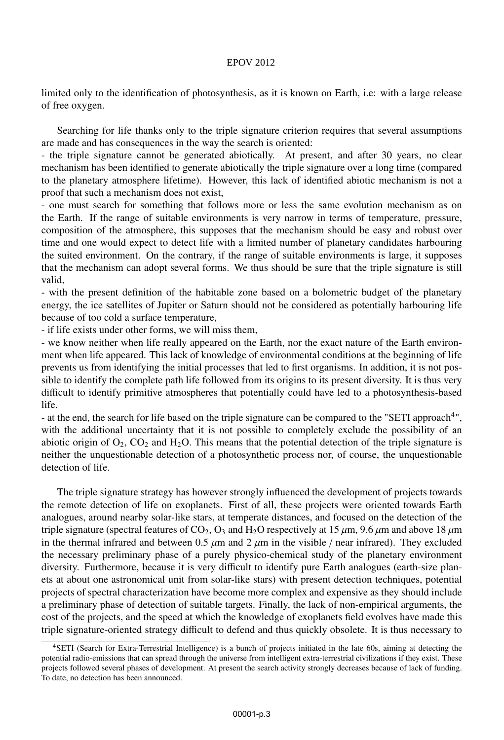#### EPOV 2012

limited only to the identification of photosynthesis, as it is known on Earth, i.e: with a large release of free oxygen.

Searching for life thanks only to the triple signature criterion requires that several assumptions are made and has consequences in the way the search is oriented:

- the triple signature cannot be generated abiotically. At present, and after 30 years, no clear mechanism has been identified to generate abiotically the triple signature over a long time (compared to the planetary atmosphere lifetime). However, this lack of identified abiotic mechanism is not a proof that such a mechanism does not exist,

- one must search for something that follows more or less the same evolution mechanism as on the Earth. If the range of suitable environments is very narrow in terms of temperature, pressure, composition of the atmosphere, this supposes that the mechanism should be easy and robust over time and one would expect to detect life with a limited number of planetary candidates harbouring the suited environment. On the contrary, if the range of suitable environments is large, it supposes that the mechanism can adopt several forms. We thus should be sure that the triple signature is still valid,

- with the present definition of the habitable zone based on a bolometric budget of the planetary energy, the ice satellites of Jupiter or Saturn should not be considered as potentially harbouring life because of too cold a surface temperature,

- if life exists under other forms, we will miss them,

- we know neither when life really appeared on the Earth, nor the exact nature of the Earth environment when life appeared. This lack of knowledge of environmental conditions at the beginning of life prevents us from identifying the initial processes that led to first organisms. In addition, it is not possible to identify the complete path life followed from its origins to its present diversity. It is thus very difficult to identify primitive atmospheres that potentially could have led to a photosynthesis-based life.

- at the end, the search for life based on the triple signature can be compared to the "SETI approach<sup>4</sup>", with the additional uncertainty that it is not possible to completely exclude the possibility of an abiotic origin of  $O_2$ ,  $CO_2$  and  $H_2O$ . This means that the potential detection of the triple signature is neither the unquestionable detection of a photosynthetic process nor, of course, the unquestionable detection of life.

The triple signature strategy has however strongly influenced the development of projects towards the remote detection of life on exoplanets. First of all, these projects were oriented towards Earth analogues, around nearby solar-like stars, at temperate distances, and focused on the detection of the triple signature (spectral features of CO<sub>2</sub>, O<sub>3</sub> and H<sub>2</sub>O respectively at 15  $\mu$ m, 9.6  $\mu$ m and above 18  $\mu$ m in the thermal infrared and between 0.5  $\mu$ m and 2  $\mu$ m in the visible / near infrared). They excluded the necessary preliminary phase of a purely physico-chemical study of the planetary environment diversity. Furthermore, because it is very difficult to identify pure Earth analogues (earth-size planets at about one astronomical unit from solar-like stars) with present detection techniques, potential projects of spectral characterization have become more complex and expensive as they should include a preliminary phase of detection of suitable targets. Finally, the lack of non-empirical arguments, the cost of the projects, and the speed at which the knowledge of exoplanets field evolves have made this triple signature-oriented strategy difficult to defend and thus quickly obsolete. It is thus necessary to

<sup>4</sup>SETI (Search for Extra-Terrestrial Intelligence) is a bunch of projects initiated in the late 60s, aiming at detecting the potential radio-emissions that can spread through the universe from intelligent extra-terrestrial civilizations if they exist. These projects followed several phases of development. At present the search activity strongly decreases because of lack of funding. To date, no detection has been announced.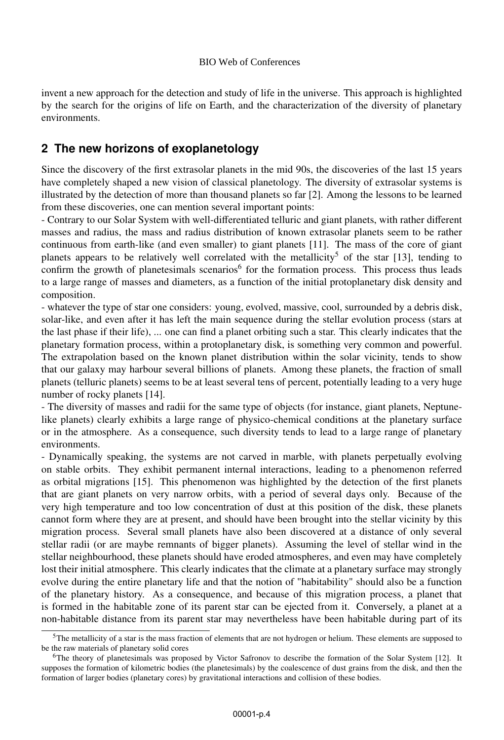invent a new approach for the detection and study of life in the universe. This approach is highlighted by the search for the origins of life on Earth, and the characterization of the diversity of planetary environments.

### **2 The new horizons of exoplanetology**

Since the discovery of the first extrasolar planets in the mid 90s, the discoveries of the last 15 years have completely shaped a new vision of classical planetology. The diversity of extrasolar systems is illustrated by the detection of more than thousand planets so far [2]. Among the lessons to be learned from these discoveries, one can mention several important points:

- Contrary to our Solar System with well-differentiated telluric and giant planets, with rather different masses and radius, the mass and radius distribution of known extrasolar planets seem to be rather continuous from earth-like (and even smaller) to giant planets [11]. The mass of the core of giant planets appears to be relatively well correlated with the metallicity<sup>5</sup> of the star [13], tending to confirm the growth of planetesimals scenarios<sup>6</sup> for the formation process. This process thus leads to a large range of masses and diameters, as a function of the initial protoplanetary disk density and composition.

- whatever the type of star one considers: young, evolved, massive, cool, surrounded by a debris disk, solar-like, and even after it has left the main sequence during the stellar evolution process (stars at the last phase if their life), ... one can find a planet orbiting such a star. This clearly indicates that the planetary formation process, within a protoplanetary disk, is something very common and powerful. The extrapolation based on the known planet distribution within the solar vicinity, tends to show that our galaxy may harbour several billions of planets. Among these planets, the fraction of small planets (telluric planets) seems to be at least several tens of percent, potentially leading to a very huge number of rocky planets [14].

- The diversity of masses and radii for the same type of objects (for instance, giant planets, Neptunelike planets) clearly exhibits a large range of physico-chemical conditions at the planetary surface or in the atmosphere. As a consequence, such diversity tends to lead to a large range of planetary environments.

- Dynamically speaking, the systems are not carved in marble, with planets perpetually evolving on stable orbits. They exhibit permanent internal interactions, leading to a phenomenon referred as orbital migrations [15]. This phenomenon was highlighted by the detection of the first planets that are giant planets on very narrow orbits, with a period of several days only. Because of the very high temperature and too low concentration of dust at this position of the disk, these planets cannot form where they are at present, and should have been brought into the stellar vicinity by this migration process. Several small planets have also been discovered at a distance of only several stellar radii (or are maybe remnants of bigger planets). Assuming the level of stellar wind in the stellar neighbourhood, these planets should have eroded atmospheres, and even may have completely lost their initial atmosphere. This clearly indicates that the climate at a planetary surface may strongly evolve during the entire planetary life and that the notion of "habitability" should also be a function of the planetary history. As a consequence, and because of this migration process, a planet that is formed in the habitable zone of its parent star can be ejected from it. Conversely, a planet at a non-habitable distance from its parent star may nevertheless have been habitable during part of its

 $5$ The metallicity of a star is the mass fraction of elements that are not hydrogen or helium. These elements are supposed to be the raw materials of planetary solid cores

<sup>6</sup>The theory of planetesimals was proposed by Victor Safronov to describe the formation of the Solar System [12]. It supposes the formation of kilometric bodies (the planetesimals) by the coalescence of dust grains from the disk, and then the formation of larger bodies (planetary cores) by gravitational interactions and collision of these bodies.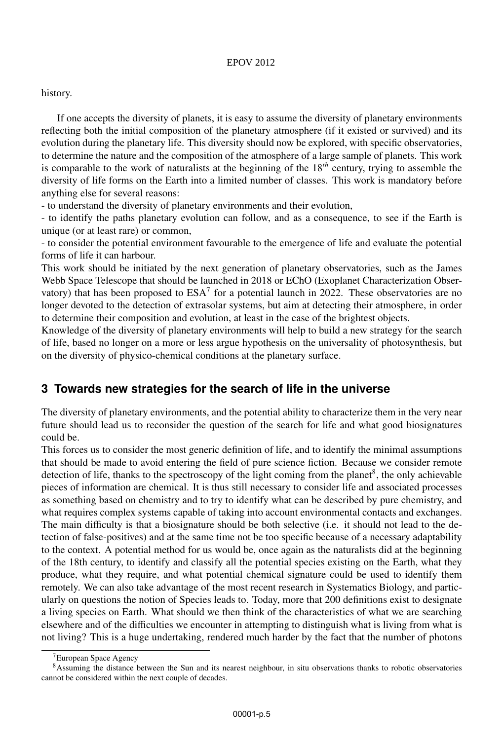#### EPOV 2012

#### history.

If one accepts the diversity of planets, it is easy to assume the diversity of planetary environments reflecting both the initial composition of the planetary atmosphere (if it existed or survived) and its evolution during the planetary life. This diversity should now be explored, with specific observatories, to determine the nature and the composition of the atmosphere of a large sample of planets. This work is comparable to the work of naturalists at the beginning of the 18*th* century, trying to assemble the diversity of life forms on the Earth into a limited number of classes. This work is mandatory before anything else for several reasons:

- to understand the diversity of planetary environments and their evolution,

- to identify the paths planetary evolution can follow, and as a consequence, to see if the Earth is unique (or at least rare) or common,

- to consider the potential environment favourable to the emergence of life and evaluate the potential forms of life it can harbour.

This work should be initiated by the next generation of planetary observatories, such as the James Webb Space Telescope that should be launched in 2018 or EChO (Exoplanet Characterization Observatory) that has been proposed to  $ESA<sup>7</sup>$  for a potential launch in 2022. These observatories are no longer devoted to the detection of extrasolar systems, but aim at detecting their atmosphere, in order to determine their composition and evolution, at least in the case of the brightest objects.

Knowledge of the diversity of planetary environments will help to build a new strategy for the search of life, based no longer on a more or less argue hypothesis on the universality of photosynthesis, but on the diversity of physico-chemical conditions at the planetary surface.

### **3 Towards new strategies for the search of life in the universe**

The diversity of planetary environments, and the potential ability to characterize them in the very near future should lead us to reconsider the question of the search for life and what good biosignatures could be.

This forces us to consider the most generic definition of life, and to identify the minimal assumptions that should be made to avoid entering the field of pure science fiction. Because we consider remote detection of life, thanks to the spectroscopy of the light coming from the planet<sup>8</sup>, the only achievable pieces of information are chemical. It is thus still necessary to consider life and associated processes as something based on chemistry and to try to identify what can be described by pure chemistry, and what requires complex systems capable of taking into account environmental contacts and exchanges. The main difficulty is that a biosignature should be both selective (i.e. it should not lead to the detection of false-positives) and at the same time not be too specific because of a necessary adaptability to the context. A potential method for us would be, once again as the naturalists did at the beginning of the 18th century, to identify and classify all the potential species existing on the Earth, what they produce, what they require, and what potential chemical signature could be used to identify them remotely. We can also take advantage of the most recent research in Systematics Biology, and particularly on questions the notion of Species leads to. Today, more that 200 definitions exist to designate a living species on Earth. What should we then think of the characteristics of what we are searching elsewhere and of the difficulties we encounter in attempting to distinguish what is living from what is not living? This is a huge undertaking, rendered much harder by the fact that the number of photons

<sup>&</sup>lt;sup>7</sup>European Space Agency

<sup>&</sup>lt;sup>8</sup>Assuming the distance between the Sun and its nearest neighbour, in situ observations thanks to robotic observatories cannot be considered within the next couple of decades.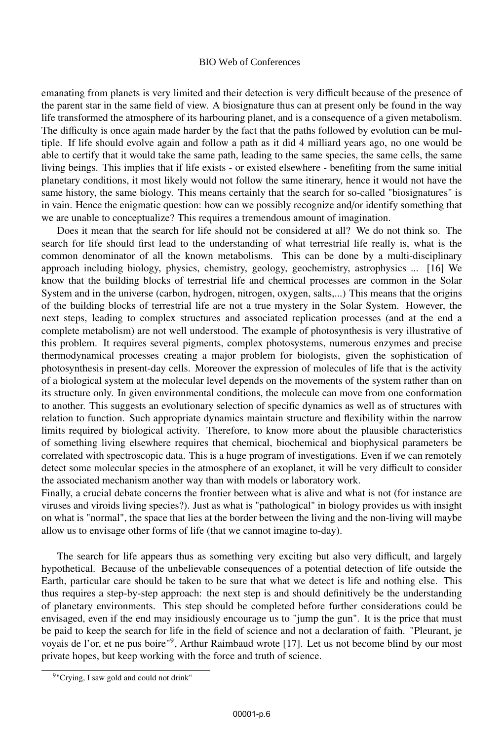#### BIO Web of Conferences

emanating from planets is very limited and their detection is very difficult because of the presence of the parent star in the same field of view. A biosignature thus can at present only be found in the way life transformed the atmosphere of its harbouring planet, and is a consequence of a given metabolism. The difficulty is once again made harder by the fact that the paths followed by evolution can be multiple. If life should evolve again and follow a path as it did 4 milliard years ago, no one would be able to certify that it would take the same path, leading to the same species, the same cells, the same living beings. This implies that if life exists - or existed elsewhere - benefiting from the same initial planetary conditions, it most likely would not follow the same itinerary, hence it would not have the same history, the same biology. This means certainly that the search for so-called "biosignatures" is in vain. Hence the enigmatic question: how can we possibly recognize and/or identify something that we are unable to conceptualize? This requires a tremendous amount of imagination.

Does it mean that the search for life should not be considered at all? We do not think so. The search for life should first lead to the understanding of what terrestrial life really is, what is the common denominator of all the known metabolisms. This can be done by a multi-disciplinary approach including biology, physics, chemistry, geology, geochemistry, astrophysics ... [16] We know that the building blocks of terrestrial life and chemical processes are common in the Solar System and in the universe (carbon, hydrogen, nitrogen, oxygen, salts,...) This means that the origins of the building blocks of terrestrial life are not a true mystery in the Solar System. However, the next steps, leading to complex structures and associated replication processes (and at the end a complete metabolism) are not well understood. The example of photosynthesis is very illustrative of this problem. It requires several pigments, complex photosystems, numerous enzymes and precise thermodynamical processes creating a major problem for biologists, given the sophistication of photosynthesis in present-day cells. Moreover the expression of molecules of life that is the activity of a biological system at the molecular level depends on the movements of the system rather than on its structure only. In given environmental conditions, the molecule can move from one conformation to another. This suggests an evolutionary selection of specific dynamics as well as of structures with relation to function. Such appropriate dynamics maintain structure and flexibility within the narrow limits required by biological activity. Therefore, to know more about the plausible characteristics of something living elsewhere requires that chemical, biochemical and biophysical parameters be correlated with spectroscopic data. This is a huge program of investigations. Even if we can remotely detect some molecular species in the atmosphere of an exoplanet, it will be very difficult to consider the associated mechanism another way than with models or laboratory work.

Finally, a crucial debate concerns the frontier between what is alive and what is not (for instance are viruses and viroids living species?). Just as what is "pathological" in biology provides us with insight on what is "normal", the space that lies at the border between the living and the non-living will maybe allow us to envisage other forms of life (that we cannot imagine to-day).

The search for life appears thus as something very exciting but also very difficult, and largely hypothetical. Because of the unbelievable consequences of a potential detection of life outside the Earth, particular care should be taken to be sure that what we detect is life and nothing else. This thus requires a step-by-step approach: the next step is and should definitively be the understanding of planetary environments. This step should be completed before further considerations could be envisaged, even if the end may insidiously encourage us to "jump the gun". It is the price that must be paid to keep the search for life in the field of science and not a declaration of faith. "Pleurant, je voyais de l'or, et ne pus boire"<sup>9</sup>, Arthur Raimbaud wrote [17]. Let us not become blind by our most private hopes, but keep working with the force and truth of science.

<sup>&</sup>lt;sup>9</sup>"Crying, I saw gold and could not drink"